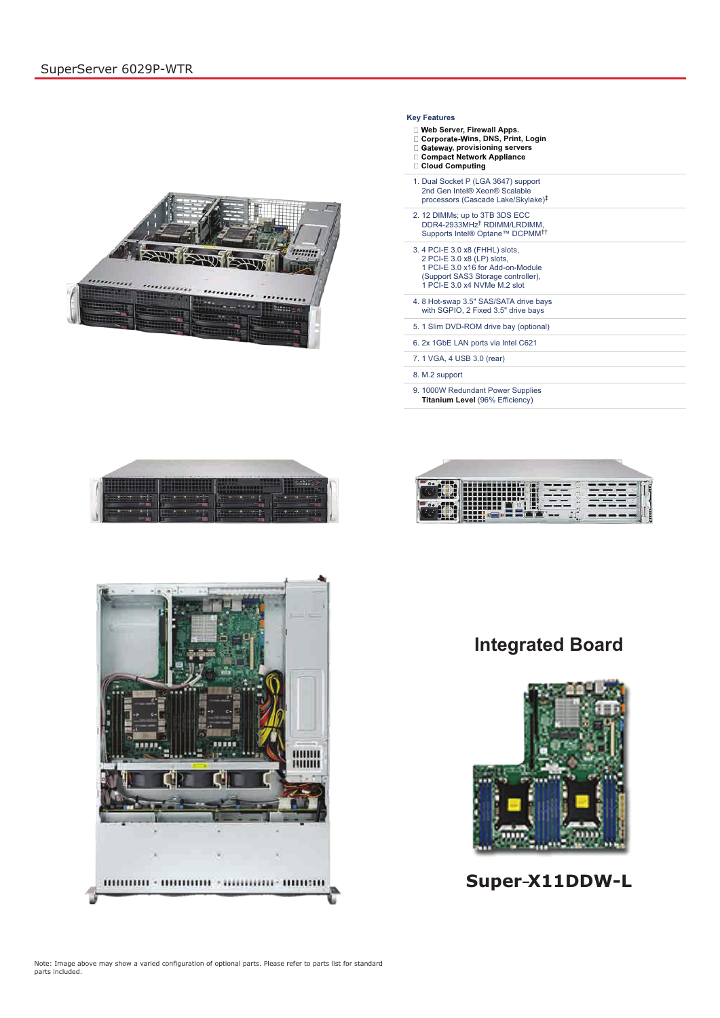## **Integrated Board**



# **Super X11DDW-L**

Note: Image above may show a varied configuration of optional parts. Please refer to parts list for standard parts included.

#### **Key Features**

- **eb Server, Firewall Apps.**
- **ins, DNS, Print, Login**
- **□ Gateway, provisioning servers**<br>□ Compact Network Appliance<br>□ Cloud Computing
- 
- 
- 1. Dual Socket P (LGA 3647) support 2nd Gen Intel® Xeon® Scalable processors (Cascade Lake/Skylake) ‡
- 2. 12 DIMMs; up to 3TB 3DS ECC DDR4-2933MHz<sup>T</sup> RDIMM/LRDIMM, Supports Intel® Optane™ DCPMM † ††
- 3. 4 PCI-E 3.0 x8 (FHHL) slots, 2 PCI-E 3.0 x8 (LP) slots, 1 PCI-E 3.0 x16 for Add-on-Module (Support SAS3 Storage controller), 1 PCI-E 3.0 x4 NVMe M.2 slot
- 4. 8 Hot-swap 3.5" SAS/SATA drive bays with SGPIO, 2 Fixed 3.5" drive bays
- 5. 1 Slim DVD-ROM drive bay (optional)
- 6. 2x 1GbE LAN ports via Intel C621
- 7. 1 VGA, 4 USB 3.0 (rear)
- 8. M.2 support
- 9. 1000W Redundant Power Supplies **Titanium Level** (96% Efficiency)







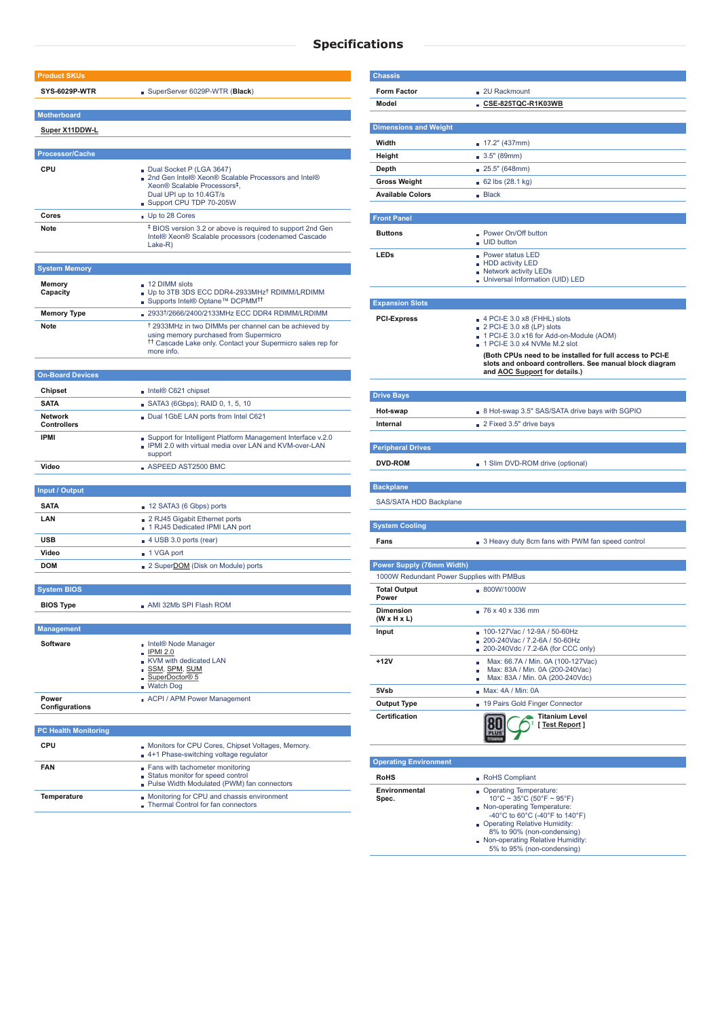### **Specifications**

| <b>Product SKUs</b>                  |                                                                                                                                                                                                    |
|--------------------------------------|----------------------------------------------------------------------------------------------------------------------------------------------------------------------------------------------------|
| <b>SYS-6029P-WTR</b>                 | SuperServer 6029P-WTR (Black)                                                                                                                                                                      |
| <b>Motherboard</b>                   |                                                                                                                                                                                                    |
| Super X11DDW-L                       |                                                                                                                                                                                                    |
|                                      |                                                                                                                                                                                                    |
| <b>Processor/Cache</b>               |                                                                                                                                                                                                    |
| <b>CPU</b>                           | Dual Socket P (LGA 3647)                                                                                                                                                                           |
|                                      | ■ 2nd Gen Intel® Xeon® Scalable Processors and Intel®<br>Xeon® Scalable Processors <sup>‡</sup> ,                                                                                                  |
|                                      | Dual UPI up to 10.4GT/s                                                                                                                                                                            |
|                                      | Support CPU TDP 70-205W                                                                                                                                                                            |
| <b>Cores</b>                         | Up to 28 Cores                                                                                                                                                                                     |
| <b>Note</b>                          | <sup>‡</sup> BIOS version 3.2 or above is required to support 2nd Gen<br>Intel® Xeon® Scalable processors (codenamed Cascade<br>$Lake-R)$                                                          |
| <b>System Memory</b>                 |                                                                                                                                                                                                    |
|                                      |                                                                                                                                                                                                    |
| <b>Memory</b><br>Capacity            | 12 DIMM slots<br>Up to 3TB 3DS ECC DDR4-2933MHz <sup>†</sup> RDIMM/LRDIMM<br>■ Supports Intel® Optane™ DCPMM <sup>††</sup>                                                                         |
| <b>Memory Type</b>                   | 2933 <sup>†</sup> /2666/2400/2133MHz ECC DDR4 RDIMM/LRDIMM                                                                                                                                         |
| <b>Note</b>                          | <sup>†</sup> 2933MHz in two DIMMs per channel can be achieved by<br>using memory purchased from Supermicro<br><sup>11</sup> Cascade Lake only. Contact your Supermicro sales rep for<br>more info. |
|                                      |                                                                                                                                                                                                    |
| <b>On-Board Devices</b>              |                                                                                                                                                                                                    |
| <b>Chipset</b>                       | Intel® C621 chipset                                                                                                                                                                                |
| <b>SATA</b>                          | SATA3 (6Gbps); RAID 0, 1, 5, 10                                                                                                                                                                    |
| <b>Network</b><br><b>Controllers</b> | Dual 1GbE LAN ports from Intel C621                                                                                                                                                                |
| <b>IPMI</b>                          | Support for Intelligent Platform Management Interface v.2.0<br>IPMI 2.0 with virtual media over LAN and KVM-over-LAN<br>support                                                                    |
| Video                                | $\blacksquare$ ASPEED AST2500 BMC                                                                                                                                                                  |
|                                      |                                                                                                                                                                                                    |
| <b>Input / Output</b>                |                                                                                                                                                                                                    |
| <b>SATA</b>                          | 12 SATA3 (6 Gbps) ports                                                                                                                                                                            |
| LAN                                  | ■ 2 RJ45 Gigabit Ethernet ports<br>1 RJ45 Dedicated IPMI LAN port                                                                                                                                  |
| <b>USB</b>                           | 4 USB 3.0 ports (rear)                                                                                                                                                                             |
| Video                                | ■ 1 VGA port                                                                                                                                                                                       |
| <b>DOM</b>                           | 2 SuperDOM (Disk on Module) ports                                                                                                                                                                  |
|                                      |                                                                                                                                                                                                    |
| <b>System BIOS</b>                   |                                                                                                                                                                                                    |
| <b>BIOS Type</b>                     | AMI 32Mb SPI Flash ROM                                                                                                                                                                             |
|                                      |                                                                                                                                                                                                    |
| <b>Management</b>                    |                                                                                                                                                                                                    |
| <b>Software</b>                      | ■ Intel® Node Manager<br><b>IPMI 2.0</b><br>KVM with dedicated LAN<br>SSM, SPM, SUM<br>SuperDoctor® 5<br><b>Watch Dog</b>                                                                          |
| Power<br>Configurations              | ACPI / APM Power Management                                                                                                                                                                        |
| <b>PC Health Monitoring</b>          |                                                                                                                                                                                                    |
| <b>CPU</b>                           |                                                                                                                                                                                                    |
|                                      | Monitors for CPU Cores, Chipset Voltages, Memory.                                                                                                                                                  |

4+1 Phase-switching voltage regulator

| <b>FAN</b>         | Fans with tachometer monitoring                                                  |               |                                                         |  |
|--------------------|----------------------------------------------------------------------------------|---------------|---------------------------------------------------------|--|
|                    | Status monitor for speed control<br>Pulse Width Modulated (PWM) fan connectors   | <b>RoHS</b>   | RoHS Compliant                                          |  |
|                    |                                                                                  | Environmental | <b>Q</b> Operating Tempe                                |  |
| <b>Temperature</b> | Monitoring for CPU and chassis environment<br>Thermal Control for fan connectors | Spec.         | $10^{\circ}$ C ~ 35 $^{\circ}$ C (5<br>Non-operating Te |  |
|                    |                                                                                  |               | -40°C to 60°C $\,$                                      |  |
|                    |                                                                                  |               | <b>Derating Relatively</b>                              |  |

| <b>Chassis</b>                              |                                                                                                                     |  |  |
|---------------------------------------------|---------------------------------------------------------------------------------------------------------------------|--|--|
| <b>Form Factor</b>                          | . 2U Rackmount                                                                                                      |  |  |
| Model                                       | $\blacksquare$ CSE-825TQC-R1K03WB                                                                                   |  |  |
|                                             |                                                                                                                     |  |  |
| <b>Dimensions and Weight</b>                |                                                                                                                     |  |  |
| Width                                       | 17.2" (437mm)                                                                                                       |  |  |
| <b>Height</b>                               | 3.5" (89mm)                                                                                                         |  |  |
| <b>Depth</b>                                | 25.5" (648mm)                                                                                                       |  |  |
| <b>Gross Weight</b>                         | 62 lbs (28.1 kg)                                                                                                    |  |  |
| <b>Available Colors</b>                     | Back                                                                                                                |  |  |
|                                             |                                                                                                                     |  |  |
| <b>Front Panel</b>                          |                                                                                                                     |  |  |
| <b>Buttons</b>                              | <b>Power On/Off button</b><br><b>UID</b> button                                                                     |  |  |
| <b>LEDs</b>                                 | <b>Power status LED</b>                                                                                             |  |  |
|                                             | - HDD activity LED<br>Network activity LEDs                                                                         |  |  |
|                                             | Universal Information (UID) LED                                                                                     |  |  |
|                                             |                                                                                                                     |  |  |
| <b>Expansion Slots</b>                      |                                                                                                                     |  |  |
| <b>PCI-Express</b>                          | $\blacksquare$ 4 PCI-E 3.0 x8 (FHHL) slots<br>2 PCI-E 3.0 x8 (LP) slots                                             |  |  |
|                                             | 1 PCI-E 3.0 x16 for Add-on-Module (AOM)                                                                             |  |  |
|                                             | $\Box$ 1 PCI-E 3.0 x4 NVMe M.2 slot                                                                                 |  |  |
|                                             | (Both CPUs need to be installed for full access to PCI-E<br>slots and onboard controllers. See manual block diagram |  |  |
|                                             | and <b>AOC</b> Support for details.)                                                                                |  |  |
|                                             |                                                                                                                     |  |  |
| <b>Drive Bays</b>                           |                                                                                                                     |  |  |
| Hot-swap                                    | B Hot-swap 3.5" SAS/SATA drive bays with SGPIO                                                                      |  |  |
| <b>Internal</b>                             | 2 Fixed 3.5" drive bays                                                                                             |  |  |
| <b>Peripheral Drives</b>                    |                                                                                                                     |  |  |
| <b>DVD-ROM</b>                              | 1 Slim DVD-ROM drive (optional)                                                                                     |  |  |
|                                             |                                                                                                                     |  |  |
| <b>Backplane</b>                            |                                                                                                                     |  |  |
| SAS/SATA HDD Backplane                      |                                                                                                                     |  |  |
|                                             |                                                                                                                     |  |  |
| <b>System Cooling</b>                       |                                                                                                                     |  |  |
| Fans                                        | 3 Heavy duty 8cm fans with PWM fan speed control                                                                    |  |  |
|                                             |                                                                                                                     |  |  |
| <b>Power Supply (76mm Width)</b>            |                                                                                                                     |  |  |
| 1000W Redundant Power Supplies with PMBus   |                                                                                                                     |  |  |
| <b>Total Output</b><br>Power                | ■ 800W/1000W                                                                                                        |  |  |
| <b>Dimension</b><br>$(W \times H \times L)$ | $\sqrt{76 \times 40 \times 336}$ mm                                                                                 |  |  |
| Input                                       | 100-127Vac / 12-9A / 50-60Hz<br>×                                                                                   |  |  |
|                                             | 200-240Vac / 7.2-6A / 50-60Hz<br>200-240Vdc / 7.2-6A (for CCC only)                                                 |  |  |
| +12V                                        | Max: 66.7A / Min. 0A (100-127Vac)<br>Ì.                                                                             |  |  |
|                                             | Max: 83A / Min. 0A (200-240Vac)<br>п<br>Max: 83A / Min. 0A (200-240Vdc)<br>D.                                       |  |  |
| 5Vsb                                        | Max: 4A/Min: 0A                                                                                                     |  |  |
| <b>Output Type</b>                          | 19 Pairs Gold Finger Connector                                                                                      |  |  |
| <b>Certification</b>                        | <b>Titanium Level</b>                                                                                               |  |  |
|                                             | [Test Report]                                                                                                       |  |  |

**Operating Environment**

| RoHS Compliant                                                 |
|----------------------------------------------------------------|
| Operating Temperature:<br>$10^{\circ}$ C ~ 35°C (50°F ~ 95°F)  |
| Non-operating Temperature:<br>-40°C to 60°C (-40°F to 140°F)   |
| Operating Relative Humidity:<br>8% to 90% (non-condensing)     |
| Non-operating Relative Humidity:<br>5% to 95% (non-condensing) |